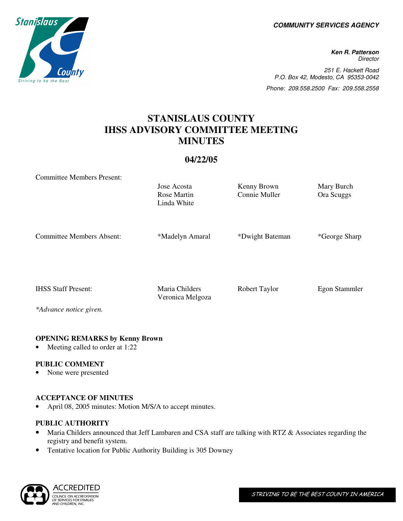**COMMUNITY SERVICES AGENCY** 

**Ken R. Patterson Director** 251 E. Hackett Road P.O. Box 42, Modesto, CA 95353-0042 Phone: 209.558.2500 Fax: 209.558.2558

# **STANISLAUS COUNTY IHSS ADVISORY COMMITTEE MEETING MINUTES**

## **04/22/05**

Rose Martin

Jose Acosta Kenny Brown Mary Burch

Connie Muller Ora Scuggs

Committee Members Present:

Linda White Committee Members Absent: \*\*Madelyn Amaral \*\*Dwight Bateman \*\*George Sharp IHSS Staff Present: Maria Childers Robert Taylor Egon Stammler Veronica Melgoza

*\*Advance notice given.* 

### **OPENING REMARKS by Kenny Brown**

Meeting called to order at 1:22

### **PUBLIC COMMENT**

None were presented

### **ACCEPTANCE OF MINUTES**

April 08, 2005 minutes: Motion M/S/A to accept minutes.

# **PUBLIC AUTHORITY**

- Maria Childers announced that Jeff Lambaren and CSA staff are talking with RTZ & Associates regarding the registry and benefit system.
- Tentative location for Public Authority Building is 305 Downey